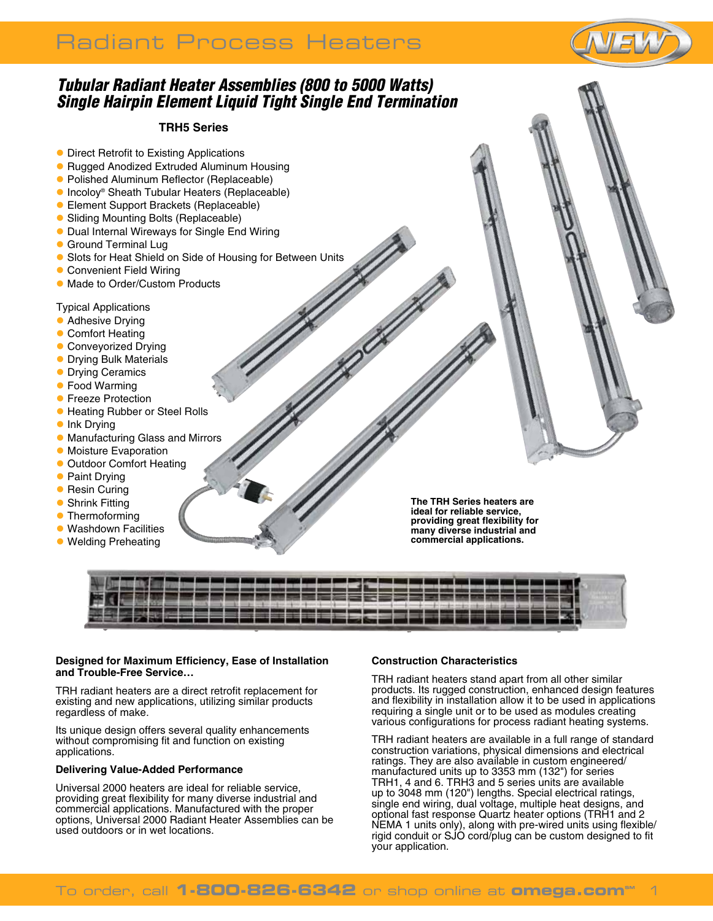

### *Tubular Radiant Heater Assemblies (800 to 5000 Watts) Single Hairpin Element Liquid Tight Single End Termination*

#### **TRH5 Series**

- **Direct Retrofit to Existing Applications**
- Rugged Anodized Extruded Aluminum Housing
- **Polished Aluminum Reflector (Replaceable)**
- Incoloy® Sheath Tubular Heaters (Replaceable)
- **Element Support Brackets (Replaceable)**
- Sliding Mounting Bolts (Replaceable)
- **Dual Internal Wireways for Single End Wiring**
- **C** Ground Terminal Lug
- **Slots for Heat Shield on Side of Housing for Between Units**
- **Convenient Field Wiring**
- **Made to Order/Custom Products**
- Typical Applications
- **Adhesive Drying**
- Comfort Heating
- **Conveyorized Drying**
- **Drying Bulk Materials**
- **Drying Ceramics**
- **Food Warming**
- **Freeze Protection**
- **Heating Rubber or Steel Rolls**
- **•** Ink Drying
- **Manufacturing Glass and Mirrors**
- **Moisture Evaporation**
- **Outdoor Comfort Heating**
- **Paint Drying**
- **Resin Curing**
- **Shrink Fitting**
- **Thermoforming**
- **Washdown Facilities**
- **Welding Preheating**

**The TRH Series heaters are ideal for reliable service, providing great flexibility for many diverse industrial and commercial applications.**

| AN SEBERAH SEBERASAN SEBERAK |  |
|------------------------------|--|

#### **Designed for Maximum Efficiency, Ease of Installation and Trouble-Free Service…**

TRH radiant heaters are a direct retrofit replacement for existing and new applications, utilizing similar products regardless of make.

Its unique design offers several quality enhancements without compromising fit and function on existing applications.

#### **Delivering Value-Added Performance**

Universal 2000 heaters are ideal for reliable service, providing great flexibility for many diverse industrial and commercial applications. Manufactured with the proper options, Universal 2000 Radiant Heater Assemblies can be used outdoors or in wet locations.

#### **Construction Characteristics**

TRH radiant heaters stand apart from all other similar products. Its rugged construction, enhanced design features and flexibility in installation allow it to be used in applications requiring a single unit or to be used as modules creating various configurations for process radiant heating systems.

TRH radiant heaters are available in a full range of standard construction variations, physical dimensions and electrical ratings. They are also available in custom engineered/ manufactured units up to 3353 mm (132") for series TRH1, 4 and 6. TRH3 and 5 series units are available up to 3048 mm (120") lengths. Special electrical ratings, single end wiring, dual voltage, multiple heat designs, and optional fast response Quartz heater options (TRH1 and 2 NEMA 1 units only), along with pre-wired units using flexible/ rigid conduit or SJO cord/plug can be custom designed to fit your application.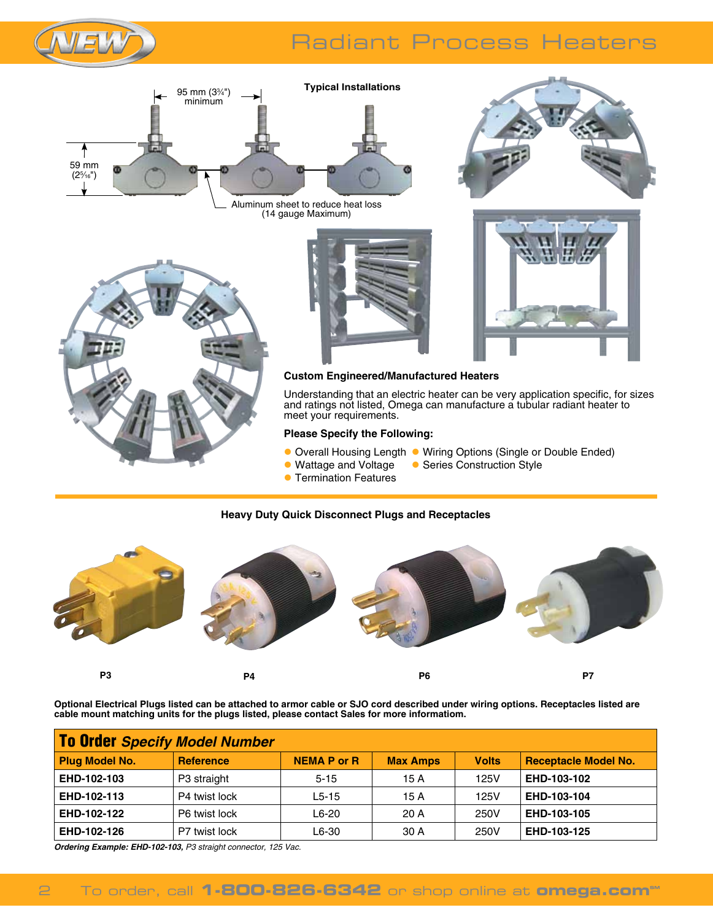





Aluminum sheet to reduce heat loss (14 gauge Maximum)







#### **Custom Engineered/Manufactured Heaters**

Understanding that an electric heater can be very application specific, for sizes and ratings not listed, Omega can manufacture a tubular radiant heater to meet your requirements.

#### **Please Specify the Following:**

- Overall Housing Length Wiring Options (Single or Double Ended)<br>● Wattage and Voltage Series Construction Style
	- **C** Series Construction Style
- **C** Termination Features

#### **Heavy Duty Quick Disconnect Plugs and Receptacles**



**Optional Electrical Plugs listed can be attached to armor cable or SJO cord described under wiring options. Receptacles listed are cable mount matching units for the plugs listed, please contact Sales for more informatiom.**

| To Order Specify Model Number |                  |                    |                 |              |                             |  |  |  |
|-------------------------------|------------------|--------------------|-----------------|--------------|-----------------------------|--|--|--|
| <b>Plug Model No.</b>         | <b>Reference</b> | <b>NEMA P or R</b> | <b>Max Amps</b> | <b>Volts</b> | <b>Receptacle Model No.</b> |  |  |  |
| EHD-102-103                   | P3 straight      | $5 - 15$           | 15 A            | 125V         | EHD-103-102                 |  |  |  |
| EHD-102-113                   | P4 twist lock    | $L5-15$            | 15 A            | 125V         | EHD-103-104                 |  |  |  |
| EHD-102-122                   | P6 twist lock    | L6-20              | 20A             | 250V         | EHD-103-105                 |  |  |  |
| EHD-102-126                   | P7 twist lock    | L6-30              | 30 A            | 250V         | EHD-103-125                 |  |  |  |

*Ordering Example: EHD-102-103, P3 straight connector, 125 Vac.*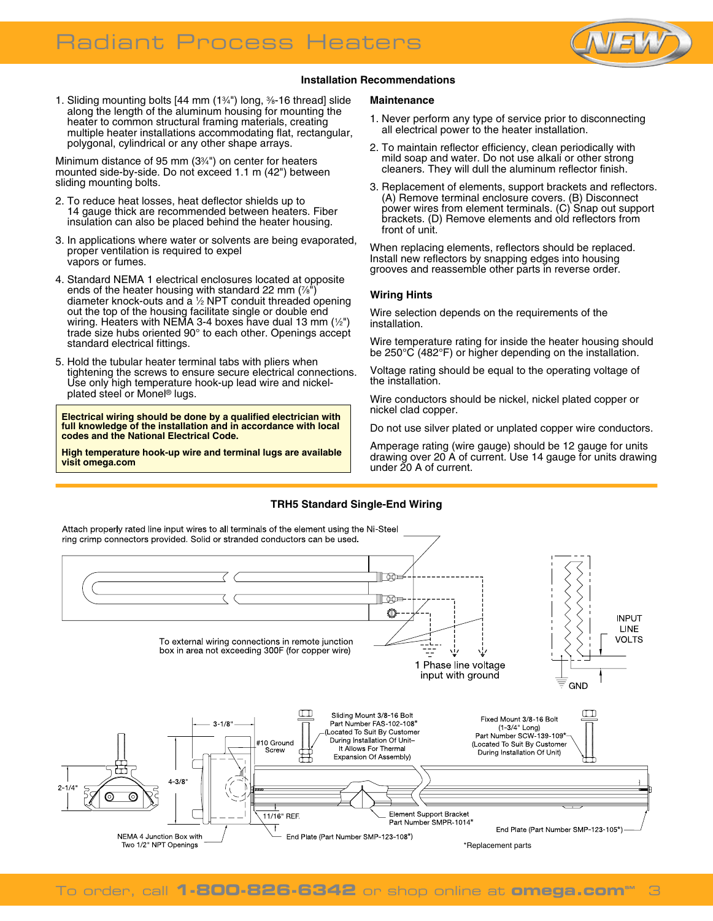

#### **Installation Recommendations**

1. Sliding mounting bolts [44 mm (13 ⁄4") long, 3 ⁄8-16 thread] slide along the length of the aluminum housing for mounting the heater to common structural framing materials, creating multiple heater installations accommodating flat, rectangular, polygonal, cylindrical or any other shape arrays.

Minimum distance of 95 mm (3<sup>3</sup>/<sub>4</sub>") on center for heaters mounted side-by-side. Do not exceed 1.1 m (42") between sliding mounting bolts.

- 2. To reduce heat losses, heat deflector shields up to 14 gauge thick are recommended between heaters. Fiber insulation can also be placed behind the heater housing.
- 3. In applications where water or solvents are being evaporated, proper ventilation is required to expel vapors or fumes.
- 4. Standard NEMA 1 electrical enclosures located at opposite ends of the heater housing with standard 22 mm  $(\frac{7}{8})$ diameter knock-outs and a 1 ⁄2 NPT conduit threaded opening out the top of the housing facilitate single or double end wiring. Heaters with NEMA 3-4 boxes have dual 13 mm (1/2") trade size hubs oriented 90° to each other. Openings accept standard electrical fittings.
- 5. Hold the tubular heater terminal tabs with pliers when tightening the screws to ensure secure electrical connections. Use only high temperature hook-up lead wire and nickelplated steel or Monel® lugs.

**Electrical wiring should be done by a qualified electrician with full knowledge of the installation and in accordance with local codes and the National Electrical Code.**

**High temperature hook-up wire and terminal lugs are available visit omega.com**

#### **Maintenance**

- 1. Never perform any type of service prior to disconnecting all electrical power to the heater installation.
- 2. To maintain reflector efficiency, clean periodically with mild soap and water. Do not use alkali or other strong cleaners. They will dull the aluminum reflector finish.
- 3. Replacement of elements, support brackets and reflectors. (A) Remove terminal enclosure covers. (B) Disconnect power wires from element terminals. (C) Snap out support brackets. (D) Remove elements and old reflectors from front of unit.

When replacing elements, reflectors should be replaced. Install new reflectors by snapping edges into housing grooves and reassemble other parts in reverse order.

#### **Wiring Hints**

Wire selection depends on the requirements of the installation.

Wire temperature rating for inside the heater housing should be 250°C (482°F) or higher depending on the installation.

Voltage rating should be equal to the operating voltage of the installation.

Wire conductors should be nickel, nickel plated copper or nickel clad copper.

Do not use silver plated or unplated copper wire conductors.

Amperage rating (wire gauge) should be 12 gauge for units drawing over 20 A of current. Use 14 gauge for units drawing under 20 A of current.

#### **TRH5 Standard Single-End Wiring**